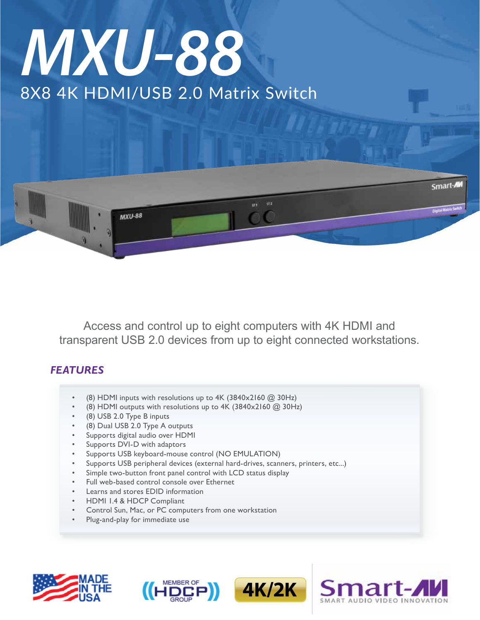# 8X8 4K HDMI/USB 2.0 Matrix Switch *MXU-88*



Access and control up to eight computers with 4K HDMI and transparent USB 2.0 devices from up to eight connected workstations.

## *FEATURES*

- (8) HDMI inputs with resolutions up to  $4K$  (3840x2160  $@$  30Hz)
- (8) HDMI outputs with resolutions up to  $4K$  (3840x2160  $@$  30Hz)
- (8) USB 2.0 Type B inputs
- (8) Dual USB 2.0 Type A outputs
- Supports digital audio over HDMI
- Supports DVI-D with adaptors
- Supports USB keyboard-mouse control (NO EMULATION)
- Supports USB peripheral devices (external hard-drives, scanners, printers, etc...)
- Simple two-button front panel control with LCD status display
- Full web-based control console over Ethernet
- Learns and stores EDID information
- HDMI 1.4 & HDCP Compliant
- Control Sun, Mac, or PC computers from one workstation
- Plug-and-play for immediate use







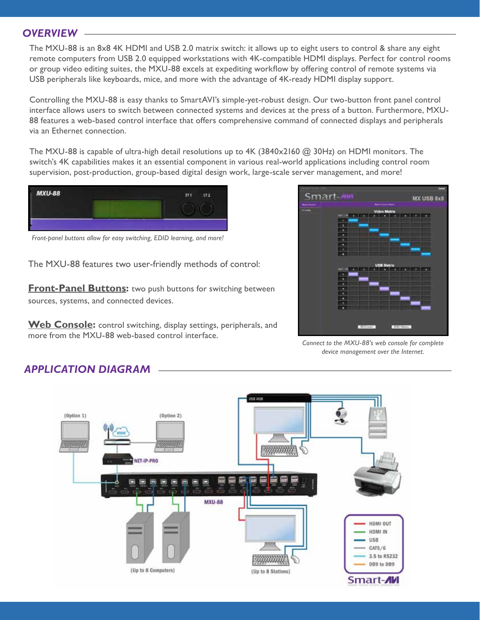#### *OVERVIEW*

The MXU-88 is an 8x8 4K HDMI and USB 2.0 matrix switch: it allows up to eight users to control & share any eight remote computers from USB 2.0 equipped workstations with 4K-compatible HDMI displays. Perfect for control rooms or group video editing suites, the MXU-88 excels at expediting workflow by offering control of remote systems via USB peripherals like keyboards, mice, and more with the advantage of 4K-ready HDMI display support.

Controlling the MXU-88 is easy thanks to SmartAVI's simple-yet-robust design. Our two-button front panel control interface allows users to switch between connected systems and devices at the press of a button. Furthermore, MXU-88 features a web-based control interface that offers comprehensive command of connected displays and peripherals via an Ethernet connection.

The MXU-88 is capable of ultra-high detail resolutions up to 4K (3840x2160 @ 30Hz) on HDMI monitors. The switch's 4K capabilities makes it an essential component in various real-world applications including control room supervision, post-production, group-based digital design work, large-scale server management, and more!



*Front-panel buttons allow for easy switching, EDID learning, and more!*

The MXU-88 features two user-friendly methods of control:

**Front-Panel Buttons:** two push buttons for switching between sources, systems, and connected devices.

**Web Console:** control switching, display settings, peripherals, and more from the MXU-88 web-based control interface.



*Connect to the MXU-88's web console for complete device management over the Internet.*



### *APPLICATION DIAGRAM*